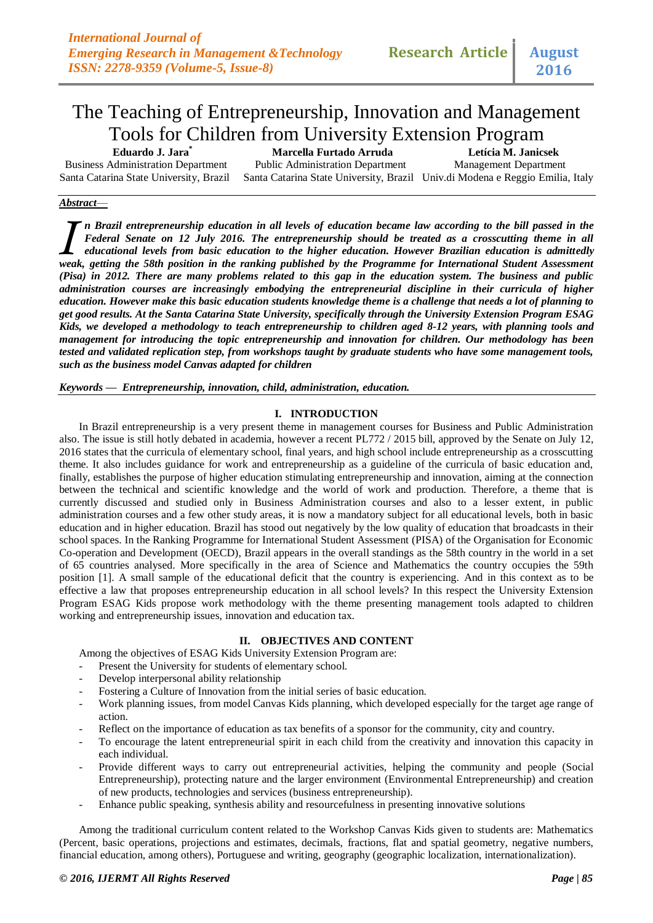# The Teaching of Entrepreneurship, Innovation and Management Tools for Children from University Extension Program

 **Eduardo J. Jara\*** Santa Catarina State University, Brazil Santa Catarina State University, Brazil Univ.di Modena e Reggio Emilia, Italy

Business Administration Department Public Administration Department Management Department

 **Marcella Furtado Arruda Letícia M. Janicsek**

# *Abstract*—

*n Brazil entrepreneurship education in all levels of education became law according to the bill passed in the Federal Senate on 12 July 2016. The entrepreneurship should be treated as a crosscutting theme in all educational levels from basic education to the higher education. However Brazilian education is admittedly weak, getting the 58th position in all levels of education became law according to the bill passed in the* Federal Senate on 12 July 2016. The entrepreneurship should be treated as a crosscutting theme in all educational *(Pisa) in 2012. There are many problems related to this gap in the education system. The business and public administration courses are increasingly embodying the entrepreneurial discipline in their curricula of higher education. However make this basic education students knowledge theme is a challenge that needs a lot of planning to get good results. At the Santa Catarina State University, specifically through the University Extension Program ESAG Kids, we developed a methodology to teach entrepreneurship to children aged 8-12 years, with planning tools and management for introducing the topic entrepreneurship and innovation for children. Our methodology has been tested and validated replication step, from workshops taught by graduate students who have some management tools, such as the business model Canvas adapted for children*

*Keywords* **—** *Entrepreneurship, innovation, child, administration, education.*

## **I. INTRODUCTION**

In Brazil entrepreneurship is a very present theme in management courses for Business and Public Administration also. The issue is still hotly debated in academia, however a recent PL772 / 2015 bill, approved by the Senate on July 12, 2016 states that the curricula of elementary school, final years, and high school include entrepreneurship as a crosscutting theme. It also includes guidance for work and entrepreneurship as a guideline of the curricula of basic education and, finally, establishes the purpose of higher education stimulating entrepreneurship and innovation, aiming at the connection between the technical and scientific knowledge and the world of work and production. Therefore, a theme that is currently discussed and studied only in Business Administration courses and also to a lesser extent, in public administration courses and a few other study areas, it is now a mandatory subject for all educational levels, both in basic education and in higher education. Brazil has stood out negatively by the low quality of education that broadcasts in their school spaces. In the Ranking Programme for International Student Assessment (PISA) of the Organisation for Economic Co-operation and Development (OECD), Brazil appears in the overall standings as the 58th country in the world in a set of 65 countries analysed. More specifically in the area of Science and Mathematics the country occupies the 59th position [1]. A small sample of the educational deficit that the country is experiencing. And in this context as to be effective a law that proposes entrepreneurship education in all school levels? In this respect the University Extension Program ESAG Kids propose work methodology with the theme presenting management tools adapted to children working and entrepreneurship issues, innovation and education tax.

## **II. OBJECTIVES AND CONTENT**

Among the objectives of ESAG Kids University Extension Program are:

- Present the University for students of elementary school.
- Develop interpersonal ability relationship
- Fostering a Culture of Innovation from the initial series of basic education.
- Work planning issues, from model Canvas Kids planning, which developed especially for the target age range of action.
- Reflect on the importance of education as tax benefits of a sponsor for the community, city and country.
- To encourage the latent entrepreneurial spirit in each child from the creativity and innovation this capacity in each individual.
- Provide different ways to carry out entrepreneurial activities, helping the community and people (Social Entrepreneurship), protecting nature and the larger environment (Environmental Entrepreneurship) and creation of new products, technologies and services (business entrepreneurship).
- Enhance public speaking, synthesis ability and resourcefulness in presenting innovative solutions

Among the traditional curriculum content related to the Workshop Canvas Kids given to students are: Mathematics (Percent, basic operations, projections and estimates, decimals, fractions, flat and spatial geometry, negative numbers, financial education, among others), Portuguese and writing, geography (geographic localization, internationalization).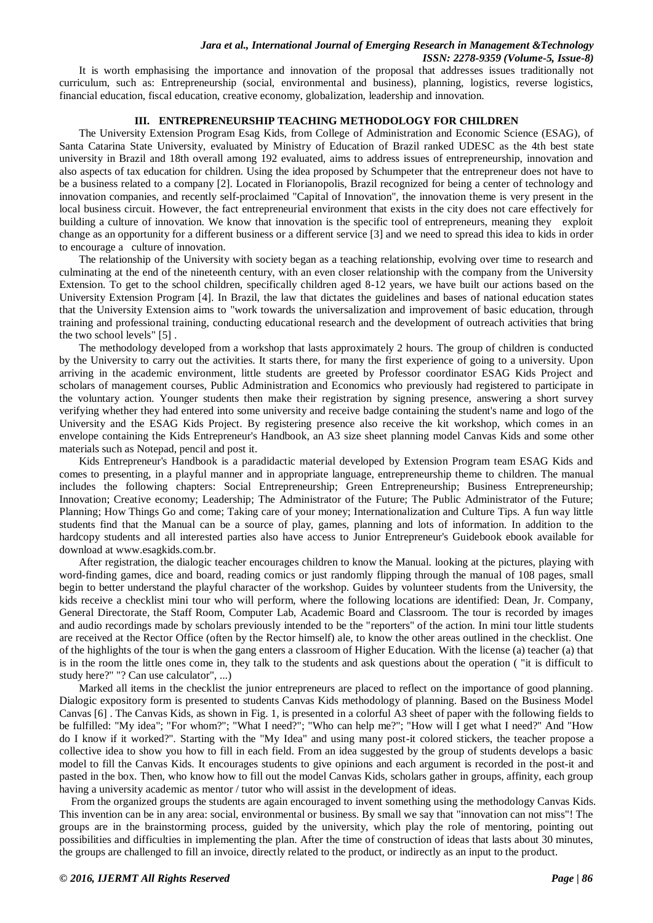## *Jara et al., International Journal of Emerging Research in Management &Technology ISSN: 2278-9359 (Volume-5, Issue-8)*

It is worth emphasising the importance and innovation of the proposal that addresses issues traditionally not curriculum, such as: Entrepreneurship (social, environmental and business), planning, logistics, reverse logistics, financial education, fiscal education, creative economy, globalization, leadership and innovation.

## **III. ENTREPRENEURSHIP TEACHING METHODOLOGY FOR CHILDREN**

The University Extension Program Esag Kids, from College of Administration and Economic Science (ESAG), of Santa Catarina State University, evaluated by Ministry of Education of Brazil ranked UDESC as the 4th best state university in Brazil and 18th overall among 192 evaluated, aims to address issues of entrepreneurship, innovation and also aspects of tax education for children. Using the idea proposed by Schumpeter that the entrepreneur does not have to be a business related to a company [2]. Located in Florianopolis, Brazil recognized for being a center of technology and innovation companies, and recently self-proclaimed "Capital of Innovation", the innovation theme is very present in the local business circuit. However, the fact entrepreneurial environment that exists in the city does not care effectively for building a culture of innovation. We know that innovation is the specific tool of entrepreneurs, meaning they exploit change as an opportunity for a different business or a different service [3] and we need to spread this idea to kids in order to encourage a culture of innovation.

The relationship of the University with society began as a teaching relationship, evolving over time to research and culminating at the end of the nineteenth century, with an even closer relationship with the company from the University Extension. To get to the school children, specifically children aged 8-12 years, we have built our actions based on the University Extension Program [4]. In Brazil, the law that dictates the guidelines and bases of national education states that the University Extension aims to "work towards the universalization and improvement of basic education, through training and professional training, conducting educational research and the development of outreach activities that bring the two school levels" [5] .

The methodology developed from a workshop that lasts approximately 2 hours. The group of children is conducted by the University to carry out the activities. It starts there, for many the first experience of going to a university. Upon arriving in the academic environment, little students are greeted by Professor coordinator ESAG Kids Project and scholars of management courses, Public Administration and Economics who previously had registered to participate in the voluntary action. Younger students then make their registration by signing presence, answering a short survey verifying whether they had entered into some university and receive badge containing the student's name and logo of the University and the ESAG Kids Project. By registering presence also receive the kit workshop, which comes in an envelope containing the Kids Entrepreneur's Handbook, an A3 size sheet planning model Canvas Kids and some other materials such as Notepad, pencil and post it.

Kids Entrepreneur's Handbook is a paradidactic material developed by Extension Program team ESAG Kids and comes to presenting, in a playful manner and in appropriate language, entrepreneurship theme to children. The manual includes the following chapters: Social Entrepreneurship; Green Entrepreneurship; Business Entrepreneurship; Innovation; Creative economy; Leadership; The Administrator of the Future; The Public Administrator of the Future; Planning; How Things Go and come; Taking care of your money; Internationalization and Culture Tips. A fun way little students find that the Manual can be a source of play, games, planning and lots of information. In addition to the hardcopy students and all interested parties also have access to Junior Entrepreneur's Guidebook ebook available for download at www.esagkids.com.br.

After registration, the dialogic teacher encourages children to know the Manual. looking at the pictures, playing with word-finding games, dice and board, reading comics or just randomly flipping through the manual of 108 pages, small begin to better understand the playful character of the workshop. Guides by volunteer students from the University, the kids receive a checklist mini tour who will perform, where the following locations are identified: Dean, Jr. Company, General Directorate, the Staff Room, Computer Lab, Academic Board and Classroom. The tour is recorded by images and audio recordings made by scholars previously intended to be the "reporters" of the action. In mini tour little students are received at the Rector Office (often by the Rector himself) ale, to know the other areas outlined in the checklist. One of the highlights of the tour is when the gang enters a classroom of Higher Education. With the license (a) teacher (a) that is in the room the little ones come in, they talk to the students and ask questions about the operation ( "it is difficult to study here?" "? Can use calculator", ...)

Marked all items in the checklist the junior entrepreneurs are placed to reflect on the importance of good planning. Dialogic expository form is presented to students Canvas Kids methodology of planning. Based on the Business Model Canvas [6] . The Canvas Kids, as shown in Fig. 1, is presented in a colorful A3 sheet of paper with the following fields to be fulfilled: "My idea"; "For whom?"; "What I need?"; "Who can help me?"; "How will I get what I need?" And "How do I know if it worked?". Starting with the "My Idea" and using many post-it colored stickers, the teacher propose a collective idea to show you how to fill in each field. From an idea suggested by the group of students develops a basic model to fill the Canvas Kids. It encourages students to give opinions and each argument is recorded in the post-it and pasted in the box. Then, who know how to fill out the model Canvas Kids, scholars gather in groups, affinity, each group having a university academic as mentor / tutor who will assist in the development of ideas.

From the organized groups the students are again encouraged to invent something using the methodology Canvas Kids. This invention can be in any area: social, environmental or business. By small we say that "innovation can not miss"! The groups are in the brainstorming process, guided by the university, which play the role of mentoring, pointing out possibilities and difficulties in implementing the plan. After the time of construction of ideas that lasts about 30 minutes, the groups are challenged to fill an invoice, directly related to the product, or indirectly as an input to the product.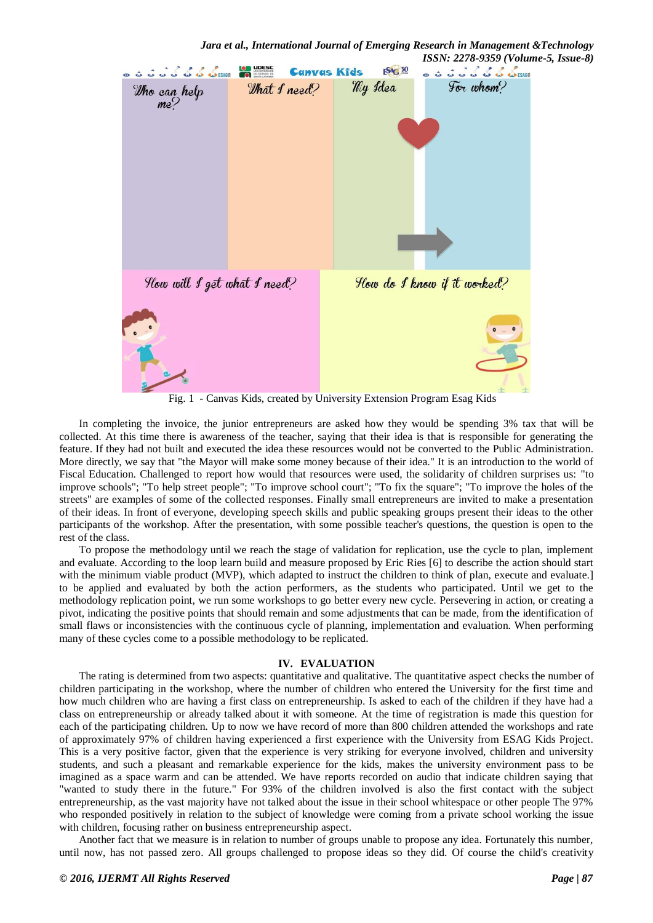

In completing the invoice, the junior entrepreneurs are asked how they would be spending 3% tax that will be collected. At this time there is awareness of the teacher, saying that their idea is that is responsible for generating the feature. If they had not built and executed the idea these resources would not be converted to the Public Administration. More directly, we say that "the Mayor will make some money because of their idea." It is an introduction to the world of Fiscal Education. Challenged to report how would that resources were used, the solidarity of children surprises us: "to improve schools"; "To help street people"; "To improve school court"; "To fix the square"; "To improve the holes of the streets" are examples of some of the collected responses. Finally small entrepreneurs are invited to make a presentation of their ideas. In front of everyone, developing speech skills and public speaking groups present their ideas to the other participants of the workshop. After the presentation, with some possible teacher's questions, the question is open to the rest of the class.

To propose the methodology until we reach the stage of validation for replication, use the cycle to plan, implement and evaluate. According to the loop learn build and measure proposed by Eric Ries [6] to describe the action should start with the minimum viable product (MVP), which adapted to instruct the children to think of plan, execute and evaluate.] to be applied and evaluated by both the action performers, as the students who participated. Until we get to the methodology replication point, we run some workshops to go better every new cycle. Persevering in action, or creating a pivot, indicating the positive points that should remain and some adjustments that can be made, from the identification of small flaws or inconsistencies with the continuous cycle of planning, implementation and evaluation. When performing many of these cycles come to a possible methodology to be replicated.

#### **IV. EVALUATION**

The rating is determined from two aspects: quantitative and qualitative. The quantitative aspect checks the number of children participating in the workshop, where the number of children who entered the University for the first time and how much children who are having a first class on entrepreneurship. Is asked to each of the children if they have had a class on entrepreneurship or already talked about it with someone. At the time of registration is made this question for each of the participating children. Up to now we have record of more than 800 children attended the workshops and rate of approximately 97% of children having experienced a first experience with the University from ESAG Kids Project. This is a very positive factor, given that the experience is very striking for everyone involved, children and university students, and such a pleasant and remarkable experience for the kids, makes the university environment pass to be imagined as a space warm and can be attended. We have reports recorded on audio that indicate children saying that "wanted to study there in the future." For 93% of the children involved is also the first contact with the subject entrepreneurship, as the vast majority have not talked about the issue in their school whitespace or other people The 97% who responded positively in relation to the subject of knowledge were coming from a private school working the issue with children, focusing rather on business entrepreneurship aspect.

Another fact that we measure is in relation to number of groups unable to propose any idea. Fortunately this number, until now, has not passed zero. All groups challenged to propose ideas so they did. Of course the child's creativity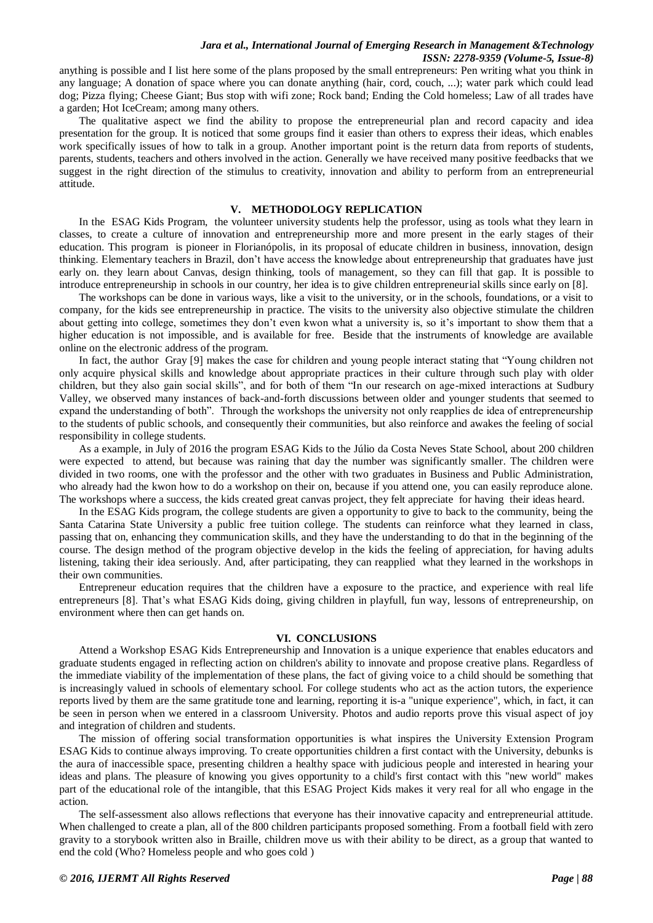## *Jara et al., International Journal of Emerging Research in Management &Technology ISSN: 2278-9359 (Volume-5, Issue-8)*

anything is possible and I list here some of the plans proposed by the small entrepreneurs: Pen writing what you think in any language; A donation of space where you can donate anything (hair, cord, couch, ...); water park which could lead dog; Pizza flying; Cheese Giant; Bus stop with wifi zone; Rock band; Ending the Cold homeless; Law of all trades have a garden; Hot IceCream; among many others.

The qualitative aspect we find the ability to propose the entrepreneurial plan and record capacity and idea presentation for the group. It is noticed that some groups find it easier than others to express their ideas, which enables work specifically issues of how to talk in a group. Another important point is the return data from reports of students, parents, students, teachers and others involved in the action. Generally we have received many positive feedbacks that we suggest in the right direction of the stimulus to creativity, innovation and ability to perform from an entrepreneurial attitude.

## **V. METHODOLOGY REPLICATION**

In the ESAG Kids Program, the volunteer university students help the professor, using as tools what they learn in classes, to create a culture of innovation and entrepreneurship more and more present in the early stages of their education. This program is pioneer in Florianópolis, in its proposal of educate children in business, innovation, design thinking. Elementary teachers in Brazil, don't have access the knowledge about entrepreneurship that graduates have just early on. they learn about Canvas, design thinking, tools of management, so they can fill that gap. It is possible to introduce entrepreneurship in schools in our country, her idea is to give children entrepreneurial skills since early on [8].

The workshops can be done in various ways, like a visit to the university, or in the schools, foundations, or a visit to company, for the kids see entrepreneurship in practice. The visits to the university also objective stimulate the children about getting into college, sometimes they don't even kwon what a university is, so it's important to show them that a higher education is not impossible, and is available for free. Beside that the instruments of knowledge are available online on the electronic address of the program.

In fact, the author Gray [9] makes the case for children and young people interact stating that "Young children not only acquire physical skills and knowledge about appropriate practices in their culture through such play with older children, but they also gain social skills", and for both of them "In our research on age-mixed interactions at Sudbury Valley, we observed many instances of back-and-forth discussions between older and younger students that seemed to expand the understanding of both". Through the workshops the university not only reapplies de idea of entrepreneurship to the students of public schools, and consequently their communities, but also reinforce and awakes the feeling of social responsibility in college students.

As a example, in July of 2016 the program ESAG Kids to the Júlio da Costa Neves State School, about 200 children were expected to attend, but because was raining that day the number was significantly smaller. The children were divided in two rooms, one with the professor and the other with two graduates in Business and Public Administration, who already had the kwon how to do a workshop on their on, because if you attend one, you can easily reproduce alone. The workshops where a success, the kids created great canvas project, they felt appreciate for having their ideas heard.

In the ESAG Kids program, the college students are given a opportunity to give to back to the community, being the Santa Catarina State University a public free tuition college. The students can reinforce what they learned in class, passing that on, enhancing they communication skills, and they have the understanding to do that in the beginning of the course. The design method of the program objective develop in the kids the feeling of appreciation, for having adults listening, taking their idea seriously. And, after participating, they can reapplied what they learned in the workshops in their own communities.

Entrepreneur education requires that the children have a exposure to the practice, and experience with real life entrepreneurs [8]. That's what ESAG Kids doing, giving children in playfull, fun way, lessons of entrepreneurship, on environment where then can get hands on.

## **VI. CONCLUSIONS**

Attend a Workshop ESAG Kids Entrepreneurship and Innovation is a unique experience that enables educators and graduate students engaged in reflecting action on children's ability to innovate and propose creative plans. Regardless of the immediate viability of the implementation of these plans, the fact of giving voice to a child should be something that is increasingly valued in schools of elementary school. For college students who act as the action tutors, the experience reports lived by them are the same gratitude tone and learning, reporting it is-a "unique experience", which, in fact, it can be seen in person when we entered in a classroom University. Photos and audio reports prove this visual aspect of joy and integration of children and students.

The mission of offering social transformation opportunities is what inspires the University Extension Program ESAG Kids to continue always improving. To create opportunities children a first contact with the University, debunks is the aura of inaccessible space, presenting children a healthy space with judicious people and interested in hearing your ideas and plans. The pleasure of knowing you gives opportunity to a child's first contact with this "new world" makes part of the educational role of the intangible, that this ESAG Project Kids makes it very real for all who engage in the action.

The self-assessment also allows reflections that everyone has their innovative capacity and entrepreneurial attitude. When challenged to create a plan, all of the 800 children participants proposed something. From a football field with zero gravity to a storybook written also in Braille, children move us with their ability to be direct, as a group that wanted to end the cold (Who? Homeless people and who goes cold )